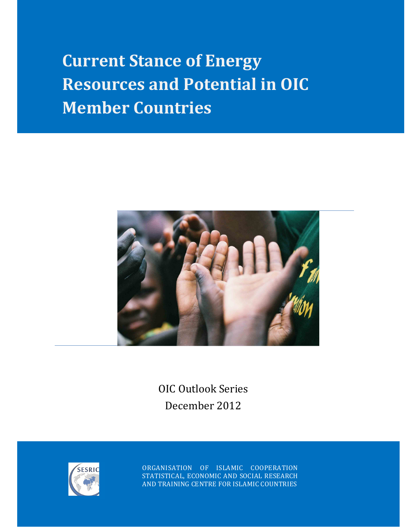**Current Stance of Energy Resources and Potential in OIC Member Countries** 



OIC Outlook Series December 2012



ORGANISATION OF ISLAMIC COOPERATION STATISTICAL, ECONOMIC AND SOCIAL RESEARCH AND TRAINING CENTRE FOR ISLAMIC COUNTRIES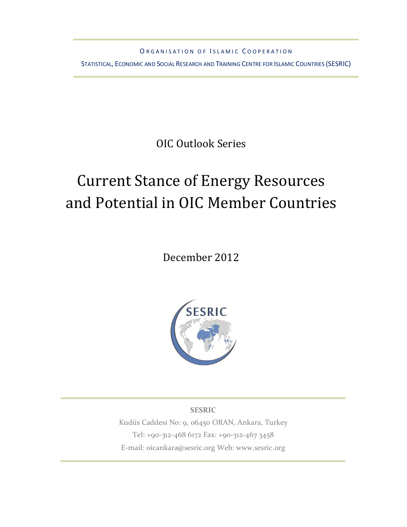ORGANISATION OF ISLAMIC COOPERATION

STATISTICAL, ECONOMIC AND SOCIAL RESEARCH AND TRAINING CENTRE FOR ISLAMIC COUNTRIES (SESRIC)

OIC Outlook Series

# Current Stance of Energy Resources and Potential in OIC Member Countries

December 2012



**SESRIC**  Kudüs Caddesi No: 9, 06450 ORAN, Ankara, Turkey Tel: +90-312-468 6172 Fax: +90-312-467 3458 E-mail: oicankara@sesric.org Web: www.sesric.org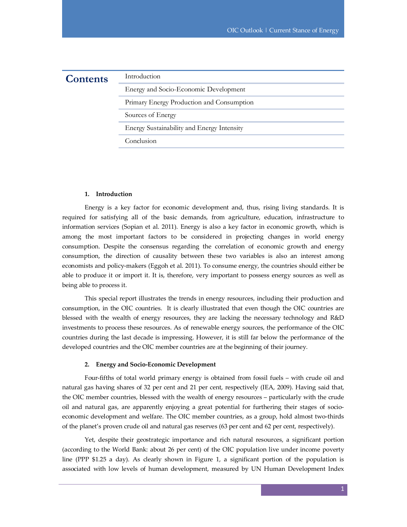| <b>Contents</b> | Introduction                               |
|-----------------|--------------------------------------------|
|                 | Energy and Socio-Economic Development      |
|                 | Primary Energy Production and Consumption  |
|                 | Sources of Energy                          |
|                 | Energy Sustainability and Energy Intensity |
|                 | Conclusion                                 |
|                 |                                            |

### **1. Introduction**

Energy is a key factor for economic development and, thus, rising living standards. It is required for satisfying all of the basic demands, from agriculture, education, infrastructure to information services (Sopian et al. 2011). Energy is also a key factor in economic growth, which is among the most important factors to be considered in projecting changes in world energy consumption. Despite the consensus regarding the correlation of economic growth and energy consumption, the direction of causality between these two variables is also an interest among economists and policy-makers (Eggoh et al. 2011). To consume energy, the countries should either be able to produce it or import it. It is, therefore, very important to possess energy sources as well as being able to process it.

This special report illustrates the trends in energy resources, including their production and consumption, in the OIC countries. It is clearly illustrated that even though the OIC countries are blessed with the wealth of energy resources, they are lacking the necessary technology and R&D investments to process these resources. As of renewable energy sources, the performance of the OIC countries during the last decade is impressing. However, it is still far below the performance of the developed countries and the OIC member countries are at the beginning of their journey.

#### **2. Energy and Socio-Economic Development**

Four-fifths of total world primary energy is obtained from fossil fuels – with crude oil and natural gas having shares of 32 per cent and 21 per cent, respectively (IEA, 2009). Having said that, the OIC member countries, blessed with the wealth of energy resources – particularly with the crude oil and natural gas, are apparently enjoying a great potential for furthering their stages of socioeconomic development and welfare. The OIC member countries, as a group, hold almost two-thirds of the planet's proven crude oil and natural gas reserves (63 per cent and 62 per cent, respectively).

Yet, despite their geostrategic importance and rich natural resources, a significant portion (according to the World Bank: about 26 per cent) of the OIC population live under income poverty line (PPP \$1.25 a day). As clearly shown in Figure 1, a significant portion of the population is associated with low levels of human development, measured by UN Human Development Index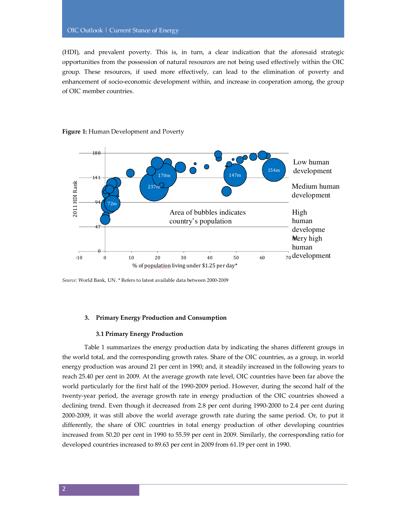(HDI), and prevalent poverty. This is, in turn, a clear indication that the aforesaid strategic opportunities from the possession of natural resources are not being used effectively within the OIC group. These resources, if used more effectively, can lead to the elimination of poverty and enhancement of socio-economic development within, and increase in cooperation among, the group of OIC member countries.



#### **Figure 1:** Human Development and Poverty

*Source:* World Bank, UN. \* Refers to latest available data between 2000-2009

#### **3. Primary Energy Production and Consumption**

#### **3.1 Primary Energy Production**

Table 1 summarizes the energy production data by indicating the shares different groups in the world total, and the corresponding growth rates. Share of the OIC countries, as a group, in world energy production was around 21 per cent in 1990; and, it steadily increased in the following years to reach 25.40 per cent in 2009. At the average growth rate level, OIC countries have been far above the world particularly for the first half of the 1990-2009 period. However, during the second half of the twenty-year period, the average growth rate in energy production of the OIC countries showed a declining trend. Even though it decreased from 2.8 per cent during 1990-2000 to 2.4 per cent during 2000-2009, it was still above the world average growth rate during the same period. Or, to put it differently, the share of OIC countries in total energy production of other developing countries increased from 50.20 per cent in 1990 to 55.59 per cent in 2009. Similarly, the corresponding ratio for developed countries increased to 89.63 per cent in 2009 from 61.19 per cent in 1990.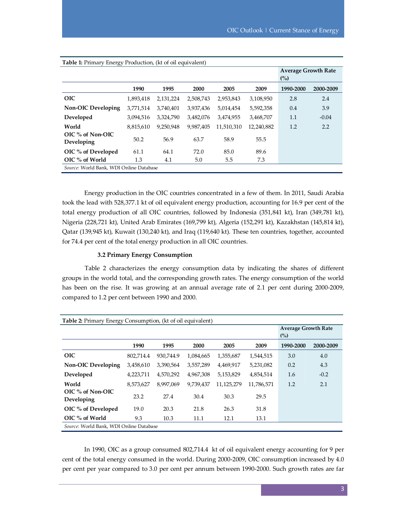| OJ.                                     |           |           |           |            |            | <b>Average Growth Rate</b><br>(%) |           |
|-----------------------------------------|-----------|-----------|-----------|------------|------------|-----------------------------------|-----------|
|                                         | 1990      | 1995      | 2000      | 2005       | 2009       | 1990-2000                         | 2000-2009 |
| <b>OIC</b>                              | 1,893,418 | 2,131,224 | 2,508,743 | 2,953,843  | 3,108,950  | 2.8                               | 2.4       |
| <b>Non-OIC Developing</b>               | 3,771,514 | 3,740,401 | 3,937,436 | 5,014,454  | 5,592,358  | 0.4                               | 3.9       |
| Developed                               | 3,094,516 | 3,324,790 | 3,482,076 | 3,474,955  | 3,468,707  | 1.1                               | $-0.04$   |
| World                                   | 8,815,610 | 9,250,948 | 9,987,405 | 11,510,310 | 12,240,882 | 1.2                               | 2.2       |
| $OIC$ % of Non- $OIC$<br>Developing     | 50.2      | 56.9      | 63.7      | 58.9       | 55.5       |                                   |           |
| OIC % of Developed                      | 61.1      | 64.1      | 72.0      | 85.0       | 89.6       |                                   |           |
| $OIC$ % of World                        | 1.3       | 4.1       | 5.0       | 5.5        | 7.3        |                                   |           |
| Source: World Bank, WDI Online Database |           |           |           |            |            |                                   |           |

**Table 1:** Primary Energy Production, (kt of oil equivalent)

Energy production in the OIC countries concentrated in a few of them. In 2011, Saudi Arabia took the lead with 528,377.1 kt of oil equivalent energy production, accounting for 16.9 per cent of the total energy production of all OIC countries, followed by Indonesia (351,841 kt), Iran (349,781 kt), Nigeria (228,721 kt), United Arab Emirates (169,799 kt), Algeria (152,291 kt), Kazakhstan (145,814 kt), Qatar (139,945 kt), Kuwait (130,240 kt), and Iraq (119,640 kt). These ten countries, together, accounted for 74.4 per cent of the total energy production in all OIC countries.

# **3.2 Primary Energy Consumption**

Table 2 characterizes the energy consumption data by indicating the shares of different groups in the world total, and the corresponding growth rates. The energy consumption of the world has been on the rise. It was growing at an annual average rate of 2.1 per cent during 2000-2009, compared to 1.2 per cent between 1990 and 2000.

| Table 2: Primary Energy Consumption, (kt of oil equivalent) |           |           |                                   |            |            |           |           |  |  |  |
|-------------------------------------------------------------|-----------|-----------|-----------------------------------|------------|------------|-----------|-----------|--|--|--|
|                                                             |           |           | <b>Average Growth Rate</b><br>(%) |            |            |           |           |  |  |  |
|                                                             | 1990      | 1995      | 2000                              | 2005       | 2009       | 1990-2000 | 2000-2009 |  |  |  |
| <b>OIC</b>                                                  | 802.714.4 | 930.744.9 | 1,084,665                         | 1,355,687  | 1,544,515  | 3.0       | 4.0       |  |  |  |
| <b>Non-OIC Developing</b>                                   | 3,458,610 | 3,390,564 | 3,557,289                         | 4,469,917  | 5,231,082  | 0.2       | 4.3       |  |  |  |
| Developed                                                   | 4,223,711 | 4,570,292 | 4,967,308                         | 5,153,829  | 4,854,514  | 1.6       | $-0.2$    |  |  |  |
| World                                                       | 8,573,627 | 8,997,069 | 9,739,437                         | 11,125,279 | 11,786,571 | 1.2       | 2.1       |  |  |  |
| OIC % of Non-OIC<br>Developing                              | 23.2      | 27.4      | 30.4                              | 30.3       | 29.5       |           |           |  |  |  |
| OIC % of Developed                                          | 19.0      | 20.3      | 21.8                              | 26.3       | 31.8       |           |           |  |  |  |
| OIC % of World                                              | 9.3       | 10.3      | 11.1                              | 12.1       | 13.1       |           |           |  |  |  |
| Source: World Bank, WDI Online Database                     |           |           |                                   |            |            |           |           |  |  |  |

In 1990, OIC as a group consumed 802,714.4 kt of oil equivalent energy accounting for 9 per cent of the total energy consumed in the world. During 2000-2009, OIC consumption increased by 4.0 per cent per year compared to 3.0 per cent per annum between 1990-2000. Such growth rates are far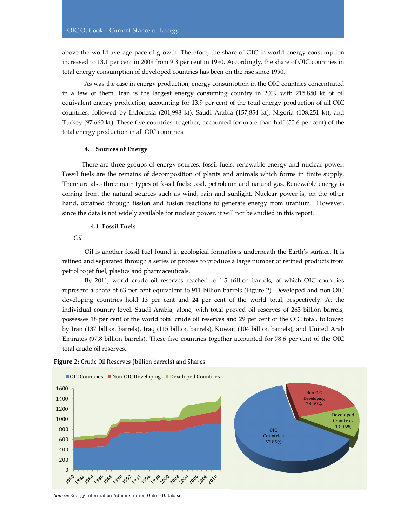above the world average pace of growth. Therefore, the share of OIC in world energy consumption increased to 13.1 per cent in 2009 from 9.3 per cent in 1990. Accordingly, the share of OIC countries in total energy consumption of developed countries has been on the rise since 1990.

As was the case in energy production, energy consumption in the OIC countries concentrated in a few of them. Iran is the largest energy consuming country in 2009 with 215,850 kt of oil equivalent energy production, accounting for 13.9 per cent of the total energy production of all OIC countries, followed by Indonesia (201,998 kt), Saudi Arabia (157,854 kt), Nigeria (108,251 kt), and Turkey (97,660 kt). These five countries, together, accounted for more than half (50.6 per cent) of the total energy production in all OIC countries.

#### **4. Sources of Energy**

There are three groups of energy sources: fossil fuels, renewable energy and nuclear power. Fossil fuels are the remains of decomposition of plants and animals which forms in finite supply. There are also three main types of fossil fuels: coal, petroleum and natural gas. Renewable energy is coming from the natural sources such as wind, rain and sunlight. Nuclear power is, on the other hand, obtained through fission and fusion reactions to generate energy from uranium. However, since the data is not widely available for nuclear power, it will not be studied in this report.

#### **4.1 Fossil Fuels**

*Oil*

Oil is another fossil fuel found in geological formations underneath the Earth's surface. It is refined and separated through a series of process to produce a large number of refined products from petrol to jet fuel, plastics and pharmaceuticals.

By 2011, world crude oil reserves reached to 1.5 trillion barrels, of which OIC countries represent a share of 63 per cent equivalent to 911 billion barrels (Figure 2). Developed and non-OIC developing countries hold 13 per cent and 24 per cent of the world total, respectively. At the individual country level, Saudi Arabia, alone, with total proved oil reserves of 263 billion barrels, possesses 18 per cent of the world total crude oil reserves and 29 per cent of the OIC total, followed by Iran (137 billion barrels), Iraq (115 billion barrels), Kuwait (104 billion barrels), and United Arab Emirates (97.8 billion barrels). These five countries together accounted for 78.6 per cent of the OIC total crude oil reserves.



Figure 2: Crude Oil Reserves (billion barrels) and Shares

*Source:* Energy Information Administration Online Database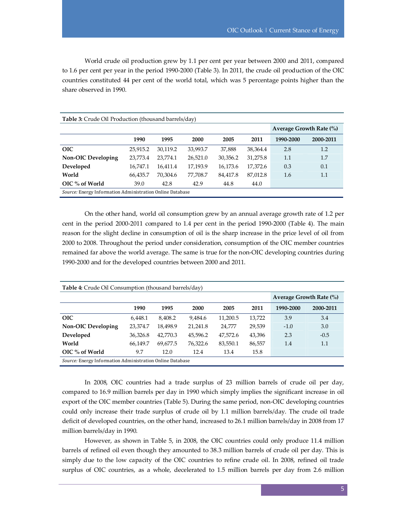World crude oil production grew by 1.1 per cent per year between 2000 and 2011, compared to 1.6 per cent per year in the period 1990-2000 (Table 3). In 2011, the crude oil production of the OIC countries constituted 44 per cent of the world total, which was 5 percentage points higher than the share observed in 1990.

| <b>Table 3:</b> Crude Oil Production (thousand barrels/day)      |          |          |                         |          |          |           |           |  |  |  |  |
|------------------------------------------------------------------|----------|----------|-------------------------|----------|----------|-----------|-----------|--|--|--|--|
|                                                                  |          |          | Average Growth Rate (%) |          |          |           |           |  |  |  |  |
|                                                                  | 1990     | 1995     | 2000                    | 2005     | 2011     | 1990-2000 | 2000-2011 |  |  |  |  |
| <b>OIC</b>                                                       | 25,915.2 | 30,119.2 | 33,993.7                | 37,888   | 38,364.4 | 2.8       | 1.2       |  |  |  |  |
| <b>Non-OIC Developing</b>                                        | 23,773.4 | 23,774.1 | 26,521.0                | 30,356.2 | 31,275.8 | 1.1       | 1.7       |  |  |  |  |
| Developed                                                        | 16,747.1 | 16,411.4 | 17,193.9                | 16,173.6 | 17,372.6 | 0.3       | 0.1       |  |  |  |  |
| World                                                            | 66,435.7 | 70,304.6 | 77,708.7                | 84,417.8 | 87,012.8 | 1.6       | 1.1       |  |  |  |  |
| OIC % of World                                                   | 39.0     | 42.8     | 42.9                    | 44.8     | 44.0     |           |           |  |  |  |  |
| <i>Source:</i> Energy Information Administration Online Database |          |          |                         |          |          |           |           |  |  |  |  |

On the other hand, world oil consumption grew by an annual average growth rate of 1.2 per cent in the period 2000-2011 compared to 1.4 per cent in the period 1990-2000 (Table 4). The main reason for the slight decline in consumption of oil is the sharp increase in the price level of oil from 2000 to 2008. Throughout the period under consideration, consumption of the OIC member countries remained far above the world average. The same is true for the non-OIC developing countries during 1990-2000 and for the developed countries between 2000 and 2011.

| <b>Table 4:</b> Crude Oil Consumption (thousand barrels/day)     |          |          |                             |          |        |           |           |  |  |  |
|------------------------------------------------------------------|----------|----------|-----------------------------|----------|--------|-----------|-----------|--|--|--|
|                                                                  |          |          | Average Growth Rate $(\% )$ |          |        |           |           |  |  |  |
|                                                                  | 1990     | 1995     | 2000                        | 2005     | 2011   | 1990-2000 | 2000-2011 |  |  |  |
| <b>OIC</b>                                                       | 6.448.1  | 8.408.2  | 9,484.6                     | 11,200.5 | 13,722 | 3.9       | 3.4       |  |  |  |
| <b>Non-OIC Developing</b>                                        | 23,374.7 | 18,498.9 | 21,241.8                    | 24,777   | 29,539 | $-1.0$    | 3.0       |  |  |  |
| Developed                                                        | 36,326.8 | 42,770.3 | 45,596.2                    | 47,572.6 | 43,396 | 2.3       | $-0.5$    |  |  |  |
| World                                                            | 66.149.7 | 69,677.5 | 76,322.6                    | 83,550.1 | 86,557 | 1.4       | 1.1       |  |  |  |
| OIC % of World                                                   | 9.7      | 12.0     | 12.4                        | 13.4     | 15.8   |           |           |  |  |  |
| <i>Source:</i> Energy Information Administration Online Database |          |          |                             |          |        |           |           |  |  |  |

In 2008, OIC countries had a trade surplus of 23 million barrels of crude oil per day, compared to 16.9 million barrels per day in 1990 which simply implies the significant increase in oil export of the OIC member countries (Table 5). During the same period, non-OIC developing countries could only increase their trade surplus of crude oil by 1.1 million barrels/day. The crude oil trade deficit of developed countries, on the other hand, increased to 26.1 million barrels/day in 2008 from 17 million barrels/day in 1990.

However, as shown in Table 5, in 2008, the OIC countries could only produce 11.4 million barrels of refined oil even though they amounted to 38.3 million barrels of crude oil per day. This is simply due to the low capacity of the OIC countries to refine crude oil. In 2008, refined oil trade surplus of OIC countries, as a whole, decelerated to 1.5 million barrels per day from 2.6 million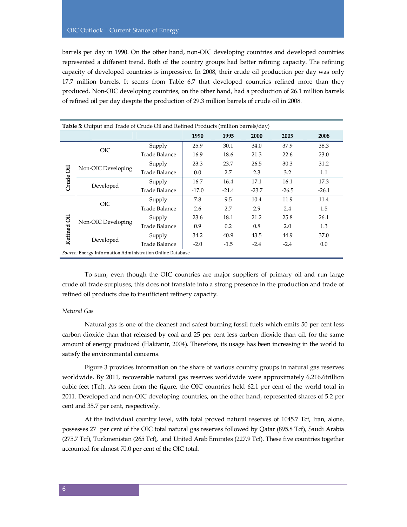barrels per day in 1990. On the other hand, non-OIC developing countries and developed countries represented a different trend. Both of the country groups had better refining capacity. The refining capacity of developed countries is impressive. In 2008, their crude oil production per day was only 17.7 million barrels. It seems from Table 6.7 that developed countries refined more than they produced. Non-OIC developing countries, on the other hand, had a production of 26.1 million barrels of refined oil per day despite the production of 29.3 million barrels of crude oil in 2008.

| Table 5: Output and Trade of Crude Oil and Refined Products (million barrels/day) |                                                           |               |         |         |         |         |         |  |
|-----------------------------------------------------------------------------------|-----------------------------------------------------------|---------------|---------|---------|---------|---------|---------|--|
| 1990<br>1995<br>2000<br>2005<br>2008                                              |                                                           |               |         |         |         |         |         |  |
|                                                                                   | <b>OIC</b>                                                | Supply        | 25.9    | 30.1    | 34.0    | 37.9    | 38.3    |  |
|                                                                                   |                                                           | Trade Balance | 16.9    | 18.6    | 21.3    | 22.6    | 23.0    |  |
|                                                                                   |                                                           | Supply        | 23.3    | 23.7    | 26.5    | 30.3    | 31.2    |  |
| öil                                                                               | Non-OIC Developing                                        | Trade Balance | 0.0     | 2.7     | 2.3     | 3.2     | 1.1     |  |
|                                                                                   | Crude<br>Developed                                        | Supply        | 16.7    | 16.4    | 17.1    | 16.1    | 17.3    |  |
|                                                                                   |                                                           | Trade Balance | $-17.0$ | $-21.4$ | $-23.7$ | $-26.5$ | $-26.1$ |  |
|                                                                                   | <b>OIC</b>                                                | Supply        | 7.8     | 9.5     | 10.4    | 11.9    | 11.4    |  |
|                                                                                   |                                                           | Trade Balance | 2.6     | 2.7     | 2.9     | 2.4     | 1.5     |  |
| öil                                                                               |                                                           | Supply        | 23.6    | 18.1    | 21.2    | 25.8    | 26.1    |  |
|                                                                                   | Non-OIC Developing                                        | Trade Balance | 0.9     | 0.2     | 0.8     | 2.0     | 1.3     |  |
| Refined                                                                           |                                                           | Supply        | 34.2    | 40.9    | 43.5    | 44.9    | 37.0    |  |
| Developed                                                                         |                                                           | Trade Balance | $-2.0$  | $-1.5$  | $-2.4$  | $-2.4$  | 0.0     |  |
|                                                                                   | Source: Energy Information Administration Online Database |               |         |         |         |         |         |  |

To sum, even though the OIC countries are major suppliers of primary oil and run large crude oil trade surpluses, this does not translate into a strong presence in the production and trade of refined oil products due to insufficient refinery capacity.

# *Natural Gas*

Natural gas is one of the cleanest and safest burning fossil fuels which emits 50 per cent less carbon dioxide than that released by coal and 25 per cent less carbon dioxide than oil, for the same amount of energy produced (Haktanir, 2004). Therefore, its usage has been increasing in the world to satisfy the environmental concerns.

Figure 3 provides information on the share of various country groups in natural gas reserves worldwide. By 2011, recoverable natural gas reserves worldwide were approximately 6,216.6trillion cubic feet (Tcf). As seen from the figure, the OIC countries held 62.1 per cent of the world total in 2011. Developed and non-OIC developing countries, on the other hand, represented shares of 5.2 per cent and 35.7 per cent, respectively.

At the individual country level, with total proved natural reserves of 1045.7 Tcf, Iran, alone, possesses 27 per cent of the OIC total natural gas reserves followed by Qatar (895.8 Tcf), Saudi Arabia (275.7 Tcf), Turkmenistan (265 Tcf), and United Arab Emirates (227.9 Tcf). These five countries together accounted for almost 70.0 per cent of the OIC total.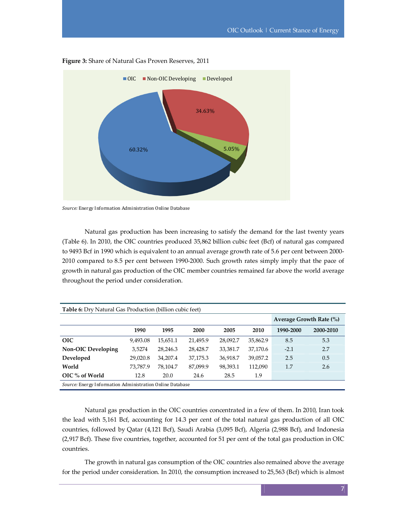

**Figure 3:** Share of Natural Gas Proven Reserves, 2011

*Source:* Energy Information Administration Online Database

Natural gas production has been increasing to satisfy the demand for the last twenty years (Table 6). In 2010, the OIC countries produced 35,862 billion cubic feet (Bcf) of natural gas compared to 9493 Bcf in 1990 which is equivalent to an annual average growth rate of 5.6 per cent between 2000- 2010 compared to 8.5 per cent between 1990-2000. Such growth rates simply imply that the pace of growth in natural gas production of the OIC member countries remained far above the world average throughout the period under consideration.

| <b>Table 6:</b> Dry Natural Gas Production (billion cubic feet) |          |          |                           |          |          |           |           |  |  |  |
|-----------------------------------------------------------------|----------|----------|---------------------------|----------|----------|-----------|-----------|--|--|--|
|                                                                 |          |          | Average Growth Rate $(\%$ |          |          |           |           |  |  |  |
|                                                                 | 1990     | 1995     | 2000                      | 2005     | 2010     | 1990-2000 | 2000-2010 |  |  |  |
| <b>OIC</b>                                                      | 9,493.08 | 15,651.1 | 21,495.9                  | 28,092.7 | 35,862.9 | 8.5       | 5.3       |  |  |  |
| <b>Non-OIC Developing</b>                                       | 3,5274   | 28,246.3 | 28,428.7                  | 33,381.7 | 37,170.6 | $-2.1$    | 2.7       |  |  |  |
| Developed                                                       | 29,020.8 | 34,207.4 | 37,175.3                  | 36,918.7 | 39,057.2 | 2.5       | 0.5       |  |  |  |
| World                                                           | 73,787.9 | 78,104.7 | 87,099.9                  | 98,393.1 | 112,090  | 1.7       | 2.6       |  |  |  |
| OIC % of World                                                  | 12.8     | 20.0     | 24.6                      | 28.5     | 1.9      |           |           |  |  |  |
| Source: Energy Information Administration Online Database       |          |          |                           |          |          |           |           |  |  |  |

Natural gas production in the OIC countries concentrated in a few of them. In 2010, Iran took the lead with 5,161 Bcf, accounting for 14.3 per cent of the total natural gas production of all OIC countries, followed by Qatar (4,121 Bcf), Saudi Arabia (3,095 Bcf), Algeria (2,988 Bcf), and Indonesia (2,917 Bcf). These five countries, together, accounted for 51 per cent of the total gas production in OIC countries.

The growth in natural gas consumption of the OIC countries also remained above the average for the period under consideration. In 2010, the consumption increased to 25,563 (Bcf) which is almost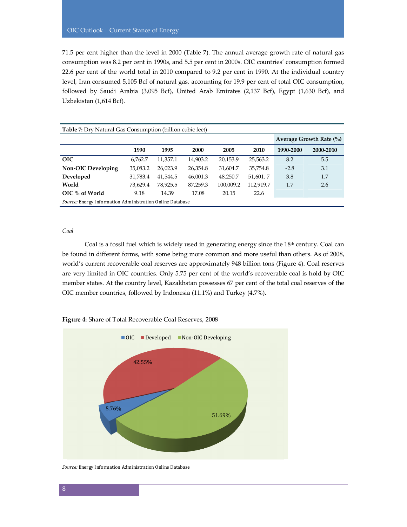71.5 per cent higher than the level in 2000 (Table 7). The annual average growth rate of natural gas consumption was 8.2 per cent in 1990s, and 5.5 per cent in 2000s. OIC countries' consumption formed 22.6 per cent of the world total in 2010 compared to 9.2 per cent in 1990. At the individual country level, Iran consumed 5,105 Bcf of natural gas, accounting for 19.9 per cent of total OIC consumption, followed by Saudi Arabia (3,095 Bcf), United Arab Emirates (2,137 Bcf), Egypt (1,630 Bcf), and Uzbekistan (1,614 Bcf).

| <b>Table 7:</b> Dry Natural Gas Consumption (billion cubic feet) |          |                             |          |           |           |           |           |  |  |  |
|------------------------------------------------------------------|----------|-----------------------------|----------|-----------|-----------|-----------|-----------|--|--|--|
|                                                                  |          | Average Growth Rate $(\% )$ |          |           |           |           |           |  |  |  |
|                                                                  | 1990     | 1995                        | 2000     | 2005      | 2010      | 1990-2000 | 2000-2010 |  |  |  |
| <b>OIC</b>                                                       | 6.762.7  | 11,357.1                    | 14,903.2 | 20,153.9  | 25,563.2  | 8.2       | 5.5       |  |  |  |
| <b>Non-OIC Developing</b>                                        | 35,083.2 | 26,023.9                    | 26,354.8 | 31,604.7  | 35,754.8  | $-2.8$    | 3.1       |  |  |  |
| Developed                                                        | 31,783.4 | 41,544.5                    | 46,001.3 | 48.250.7  | 51,601.7  | 3.8       | 1.7       |  |  |  |
| World                                                            | 73,629.4 | 78,925.5                    | 87,259.3 | 100,009.2 | 112,919.7 | 1.7       | 2.6       |  |  |  |
| OIC % of World                                                   | 9.18     | 14.39                       | 17.08    | 20.15     | 22.6      |           |           |  |  |  |
| Source: Energy Information Administration Online Database        |          |                             |          |           |           |           |           |  |  |  |

#### *Coal*

Coal is a fossil fuel which is widely used in generating energy since the 18th century. Coal can be found in different forms, with some being more common and more useful than others. As of 2008, world's current recoverable coal reserves are approximately 948 billion tons (Figure 4). Coal reserves are very limited in OIC countries. Only 5.75 per cent of the world's recoverable coal is hold by OIC member states. At the country level, Kazakhstan possesses 67 per cent of the total coal reserves of the OIC member countries, followed by Indonesia (11.1%) and Turkey (4.7%).



**Figure 4:** Share of Total Recoverable Coal Reserves, 2008

*Source:* Energy Information Administration Online Database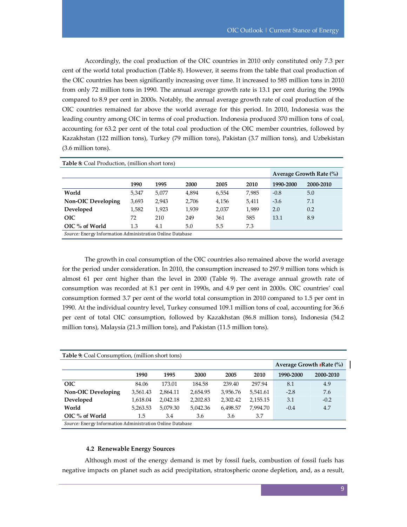Accordingly, the coal production of the OIC countries in 2010 only constituted only 7.3 per cent of the world total production (Table 8). However, it seems from the table that coal production of the OIC countries has been significantly increasing over time. It increased to 585 million tons in 2010 from only 72 million tons in 1990. The annual average growth rate is 13.1 per cent during the 1990s compared to 8.9 per cent in 2000s. Notably, the annual average growth rate of coal production of the OIC countries remained far above the world average for this period. In 2010, Indonesia was the leading country among OIC in terms of coal production. Indonesia produced 370 million tons of coal, accounting for 63.2 per cent of the total coal production of the OIC member countries, followed by Kazakhstan (122 million tons), Turkey (79 million tons), Pakistan (3.7 million tons), and Uzbekistan (3.6 million tons).

| <b>Table 8:</b> Coal Production, (million short tons) |                                                                  |                             |       |       |       |           |           |  |  |  |  |
|-------------------------------------------------------|------------------------------------------------------------------|-----------------------------|-------|-------|-------|-----------|-----------|--|--|--|--|
|                                                       |                                                                  | Average Growth Rate $(\% )$ |       |       |       |           |           |  |  |  |  |
|                                                       | 1990                                                             | 1995                        | 2000  | 2005  | 2010  | 1990-2000 | 2000-2010 |  |  |  |  |
| World                                                 | 5,347                                                            | 5,077                       | 4,894 | 6,554 | 7,985 | $-0.8$    | 5.0       |  |  |  |  |
| <b>Non-OIC Developing</b>                             | 3,693                                                            | 2,943                       | 2.706 | 4,156 | 5,411 | $-3.6$    | 7.1       |  |  |  |  |
| Developed                                             | 1,582                                                            | 1,923                       | 1,939 | 2,037 | 1,989 | 2.0       | 0.2       |  |  |  |  |
| <b>OIC</b>                                            | 72                                                               | 210                         | 249   | 361   | 585   | 13.1      | 8.9       |  |  |  |  |
| OIC % of World                                        | 1.3                                                              | 4.1                         | 5.0   | 5.5   | 7.3   |           |           |  |  |  |  |
|                                                       | <i>Source:</i> Energy Information Administration Online Database |                             |       |       |       |           |           |  |  |  |  |

The growth in coal consumption of the OIC countries also remained above the world average for the period under consideration. In 2010, the consumption increased to 297.9 million tons which is almost 61 per cent higher than the level in 2000 (Table 9). The average annual growth rate of consumption was recorded at 8.1 per cent in 1990s, and 4.9 per cent in 2000s. OIC countries' coal consumption formed 3.7 per cent of the world total consumption in 2010 compared to 1.5 per cent in 1990. At the individual country level, Turkey consumed 109.1 million tons of coal, accounting for 36.6 per cent of total OIC consumption, followed by Kazakhstan (86.8 million tons), Indonesia (54.2 million tons), Malaysia (21.3 million tons), and Pakistan (11.5 million tons).

| <b>Table 9:</b> Coal Consumption, (million short tons)    |          |          |                                 |          |          |           |           |  |  |  |  |
|-----------------------------------------------------------|----------|----------|---------------------------------|----------|----------|-----------|-----------|--|--|--|--|
|                                                           |          |          | Average Growth <b>FRate</b> (%) |          |          |           |           |  |  |  |  |
|                                                           | 1990     | 1995     | 2000                            | 2005     | 2010     | 1990-2000 | 2000-2010 |  |  |  |  |
| <b>OIC</b>                                                | 84.06    | 173.01   | 184.58                          | 239.40   | 297.94   | 8.1       | 4.9       |  |  |  |  |
| <b>Non-OIC Developing</b>                                 | 3,561.43 | 2,864.11 | 2,654.95                        | 3,956.76 | 5,541.61 | $-2.8$    | 7.6       |  |  |  |  |
| Developed                                                 | 1,618.04 | 2,042.18 | 2,202.83                        | 2,302.42 | 2,155.15 | 3.1       | $-0.2$    |  |  |  |  |
| World                                                     | 5,263.53 | 5,079.30 | 5,042.36                        | 6,498.57 | 7.994.70 | $-0.4$    | 4.7       |  |  |  |  |
| OIC % of World                                            | 1.5      | 3.4      | 3.6                             | 3.6      | 3.7      |           |           |  |  |  |  |
| Source: Energy Information Administration Online Database |          |          |                                 |          |          |           |           |  |  |  |  |

#### **4.2 Renewable Energy Sources**

Although most of the energy demand is met by fossil fuels, combustion of fossil fuels has negative impacts on planet such as acid precipitation, stratospheric ozone depletion, and, as a result,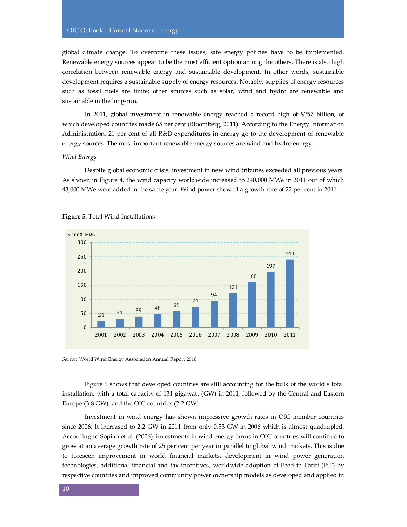global climate change. To overcome these issues, safe energy policies have to be implemented. Renewable energy sources appear to be the most efficient option among the others. There is also high correlation between renewable energy and sustainable development. In other words, sustainable development requires a sustainable supply of energy resources. Notably, supplies of energy resources such as fossil fuels are finite; other sources such as solar, wind and hydro are renewable and sustainable in the long-run.

In 2011, global investment in renewable energy reached a record high of \$257 billion, of which developed countries made 65 per cent (Bloomberg, 2011). According to the Energy Information Administration, 21 per cent of all R&D expenditures in energy go to the development of renewable energy sources. The most important renewable energy sources are wind and hydro energy.

#### *Wind Energy*

Despite global economic crisis, investment in new wind tribunes exceeded all previous years. As shown in Figure 4, the wind capacity worldwide increased to 240,000 MWe in 2011 out of which 43,000 MWe were added in the same year. Wind power showed a growth rate of 22 per cent in 2011.



#### **Figure 5.** Total Wind Installations

*Source:* World Wind Energy Association Annual Report 2010

Figure 6 shows that developed countries are still accounting for the bulk of the world's total installation, with a total capacity of 131 gigawatt (GW) in 2011, followed by the Central and Eastern Europe (3.8 GW), and the OIC countries (2.2 GW).

Investment in wind energy has shown impressive growth rates in OIC member countries since 2006. It increased to 2.2 GW in 2011 from only 0.53 GW in 2006 which is almost quadrupled. According to Sopian et al. (2006), investments in wind energy farms in OIC countries will continue to grow at an average growth rate of 25 per cent per year in parallel to global wind markets. This is due to foreseen improvement in world financial markets, development in wind power generation technologies, additional financial and tax incentives, worldwide adoption of Feed-in-Tariff (FiT) by respective countries and improved community power ownership models as developed and applied in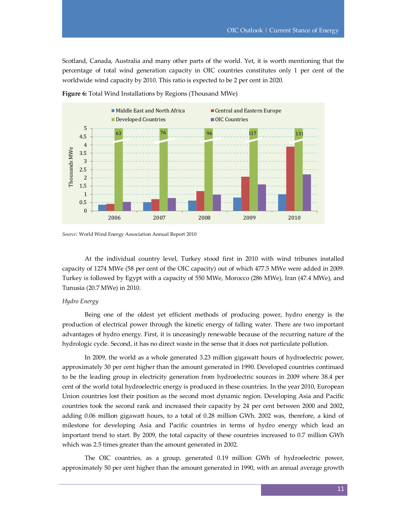Scotland, Canada, Australia and many other parts of the world. Yet, it is worth mentioning that the percentage of total wind generation capacity in OIC countries constitutes only 1 per cent of the worldwide wind capacity by 2010. This ratio is expected to be 2 per cent in 2020.



**Figure 6:** Total Wind Installations by Regions (Thousand MWe)

At the individual country level, Turkey stood first in 2010 with wind tribunes installed capacity of 1274 MWe (58 per cent of the OIC capacity) out of which 477.5 MWe were added in 2009. Turkey is followed by Egypt with a capacity of 550 MWe, Morocco (286 MWe), Iran (47.4 MWe), and Tunusia (20.7 MWe) in 2010.

#### *Hydro Energy*

Being one of the oldest yet efficient methods of producing power, hydro energy is the production of electrical power through the kinetic energy of falling water. There are two important advantages of hydro energy. First, it is unceasingly renewable because of the recurring nature of the hydrologic cycle. Second, it has no direct waste in the sense that it does not particulate pollution.

In 2009, the world as a whole generated 3.23 million gigawatt hours of hydroelectric power, approximately 30 per cent higher than the amount generated in 1990. Developed countries continued to be the leading group in electricity generation from hydroelectric sources in 2009 where 38.4 per cent of the world total hydroelectric energy is produced in these countries. In the year 2010, European Union countries lost their position as the second most dynamic region. Developing Asia and Pacific countries took the second rank and increased their capacity by 24 per cent between 2000 and 2002, adding 0.06 million gigawatt hours, to a total of 0.28 million GWh. 2002 was, therefore, a kind of milestone for developing Asia and Pacific countries in terms of hydro energy which lead an important trend to start. By 2009, the total capacity of these countries increased to 0.7 million GWh which was 2.5 times greater than the amount generated in 2002.

The OIC countries, as a group, generated 0.19 million GWh of hydroelectric power, approximately 50 per cent higher than the amount generated in 1990, with an annual average growth

*Source:* World Wind Energy Association Annual Report 2010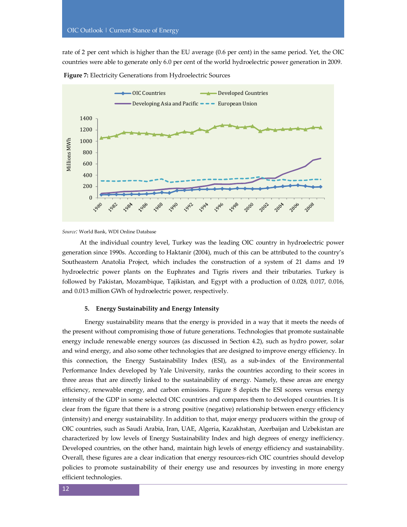rate of 2 per cent which is higher than the EU average (0.6 per cent) in the same period. Yet, the OIC countries were able to generate only 6.0 per cent of the world hydroelectric power generation in 2009.



**Figure 7:** Electricity Generations from Hydroelectric Sources

*Source:* World Bank, WDI Online Database

At the individual country level, Turkey was the leading OIC country in hydroelectric power generation since 1990s. According to Haktanir (2004), much of this can be attributed to the country's Southeastern Anatolia Project, which includes the construction of a system of 21 dams and 19 hydroelectric power plants on the Euphrates and Tigris rivers and their tributaries. Turkey is followed by Pakistan, Mozambique, Tajikistan, and Egypt with a production of 0.028, 0.017, 0.016, and 0.013 million GWh of hydroelectric power, respectively.

#### **5. Energy Sustainability and Energy Intensity**

Energy sustainability means that the energy is provided in a way that it meets the needs of the present without compromising those of future generations. Technologies that promote sustainable energy include renewable energy sources (as discussed in Section 4.2), such as hydro power, solar and wind energy, and also some other technologies that are designed to improve energy efficiency. In this connection, the Energy Sustainability Index (ESI), as a sub-index of the Environmental Performance Index developed by Yale University, ranks the countries according to their scores in three areas that are directly linked to the sustainability of energy. Namely, these areas are energy efficiency, renewable energy, and carbon emissions. Figure 8 depicts the ESI scores versus energy intensity of the GDP in some selected OIC countries and compares them to developed countries. It is clear from the figure that there is a strong positive (negative) relationship between energy efficiency (intensity) and energy sustainability. In addition to that, major energy producers within the group of OIC countries, such as Saudi Arabia, Iran, UAE, Algeria, Kazakhstan, Azerbaijan and Uzbekistan are characterized by low levels of Energy Sustainability Index and high degrees of energy inefficiency. Developed countries, on the other hand, maintain high levels of energy efficiency and sustainability. Overall, these figures are a clear indication that energy resources-rich OIC countries should develop policies to promote sustainability of their energy use and resources by investing in more energy efficient technologies.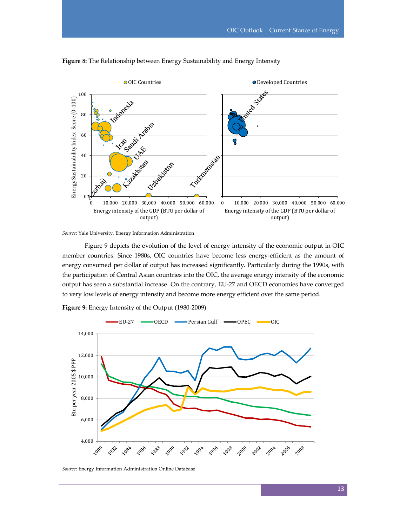



*Source:* Yale University, Energy Information Administration

Figure 9 depicts the evolution of the level of energy intensity of the economic output in OIC member countries. Since 1980s, OIC countries have become less energy-efficient as the amount of energy consumed per dollar of output has increased significantly. Particularly during the 1990s, with the participation of Central Asian countries into the OIC, the average energy intensity of the economic output has seen a substantial increase. On the contrary, EU-27 and OECD economies have converged to very low levels of energy intensity and become more energy efficient over the same period.



**Figure 9:** Energy Intensity of the Output (1980-2009)

*Source:* Energy Information Administration Online Database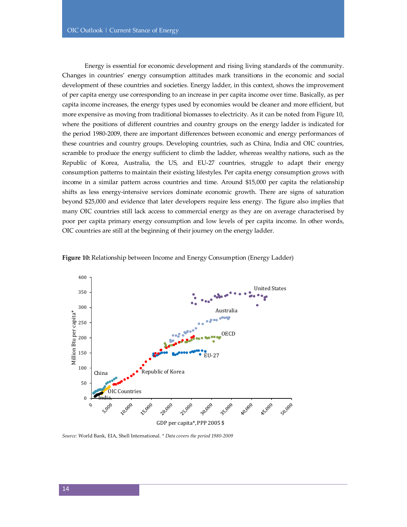Energy is essential for economic development and rising living standards of the community. Changes in countries' energy consumption attitudes mark transitions in the economic and social development of these countries and societies. Energy ladder, in this context, shows the improvement of per capita energy use corresponding to an increase in per capita income over time. Basically, as per capita income increases, the energy types used by economies would be cleaner and more efficient, but more expensive as moving from traditional biomasses to electricity. As it can be noted from Figure 10, where the positions of different countries and country groups on the energy ladder is indicated for the period 1980-2009, there are important differences between economic and energy performances of these countries and country groups. Developing countries, such as China, India and OIC countries, scramble to produce the energy sufficient to climb the ladder, whereas wealthy nations, such as the Republic of Korea, Australia, the US, and EU-27 countries, struggle to adapt their energy consumption patterns to maintain their existing lifestyles. Per capita energy consumption grows with income in a similar pattern across countries and time. Around \$15,000 per capita the relationship shifts as less energy-intensive services dominate economic growth. There are signs of saturation beyond \$25,000 and evidence that later developers require less energy. The figure also implies that many OIC countries still lack access to commercial energy as they are on average characterised by poor per capita primary energy consumption and low levels of per capita income. In other words, OIC countries are still at the beginning of their journey on the energy ladder.



**Figure 10:** Relationship between Income and Energy Consumption (Energy Ladder)

*Source:* World Bank, EIA, Shell International. *\* Data covers the period 1980-2009*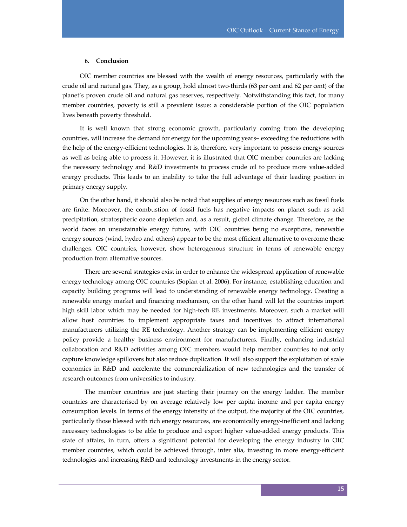#### **6. Conclusion**

OIC member countries are blessed with the wealth of energy resources, particularly with the crude oil and natural gas. They, as a group, hold almost two-thirds (63 per cent and 62 per cent) of the planet's proven crude oil and natural gas reserves, respectively. Notwithstanding this fact, for many member countries, poverty is still a prevalent issue: a considerable portion of the OIC population lives beneath poverty threshold.

It is well known that strong economic growth, particularly coming from the developing countries, will increase the demand for energy for the upcoming years– exceeding the reductions with the help of the energy-efficient technologies. It is, therefore, very important to possess energy sources as well as being able to process it. However, it is illustrated that OIC member countries are lacking the necessary technology and R&D investments to process crude oil to produce more value-added energy products. This leads to an inability to take the full advantage of their leading position in primary energy supply.

On the other hand, it should also be noted that supplies of energy resources such as fossil fuels are finite. Moreover, the combustion of fossil fuels has negative impacts on planet such as acid precipitation, stratospheric ozone depletion and, as a result, global climate change. Therefore, as the world faces an unsustainable energy future, with OIC countries being no exceptions, renewable energy sources (wind, hydro and others) appear to be the most efficient alternative to overcome these challenges. OIC countries, however, show heterogenous structure in terms of renewable energy production from alternative sources.

 There are several strategies exist in order to enhance the widespread application of renewable energy technology among OIC countries (Sopian et al. 2006). For instance, establishing education and capacity building programs will lead to understanding of renewable energy technology. Creating a renewable energy market and financing mechanism, on the other hand will let the countries import high skill labor which may be needed for high-tech RE investments. Moreover, such a market will allow host countries to implement appropriate taxes and incentives to attract international manufacturers utilizing the RE technology. Another strategy can be implementing efficient energy policy provide a healthy business environment for manufacturers. Finally, enhancing industrial collaboration and R&D activities among OIC members would help member countries to not only capture knowledge spillovers but also reduce duplication. It will also support the exploitation of scale economies in R&D and accelerate the commercialization of new technologies and the transfer of research outcomes from universities to industry.

 The member countries are just starting their journey on the energy ladder. The member countries are characterised by on average relatively low per capita income and per capita energy consumption levels. In terms of the energy intensity of the output, the majority of the OIC countries, particularly those blessed with rich energy resources, are economically energy-inefficient and lacking necessary technologies to be able to produce and export higher value-added energy products. This state of affairs, in turn, offers a significant potential for developing the energy industry in OIC member countries, which could be achieved through, inter alia, investing in more energy-efficient technologies and increasing R&D and technology investments in the energy sector.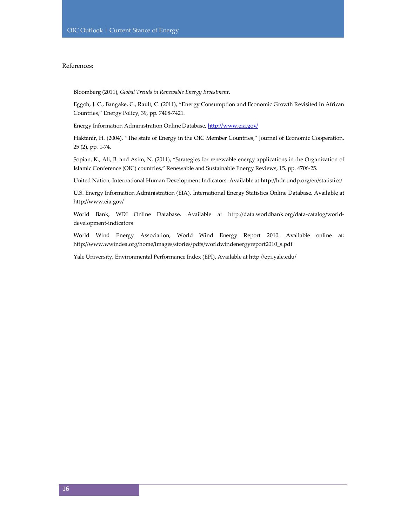# References:

Bloomberg (2011), *Global Trends in Renewable Energy Investment*.

Eggoh, J. C., Bangake, C., Rault, C. (2011), "Energy Consumption and Economic Growth Revisited in African Countries," Energy Policy, 39, pp. 7408-7421.

Energy Information Administration Online Database, http://www.eia.gov/

Haktanir, H. (2004), "The state of Energy in the OIC Member Countries," Journal of Economic Cooperation, 25 (2), pp. 1-74.

Sopian, K., Ali, B. and Asim, N. (2011), "Strategies for renewable energy applications in the Organization of Islamic Conference (OIC) countries," Renewable and Sustainable Energy Reviews, 15, pp. 4706-25.

United Nation, International Human Development Indicators. Available at http://hdr.undp.org/en/statistics/

U.S. Energy Information Administration (EIA), International Energy Statistics Online Database. Available at http://www.eia.gov/

World Bank, WDI Online Database. Available at http://data.worldbank.org/data-catalog/worlddevelopment-indicators

World Wind Energy Association, World Wind Energy Report 2010. Available online at: http://www.wwindea.org/home/images/stories/pdfs/worldwindenergyreport2010\_s.pdf

Yale University, Environmental Performance Index (EPI). Available at http://epi.yale.edu/